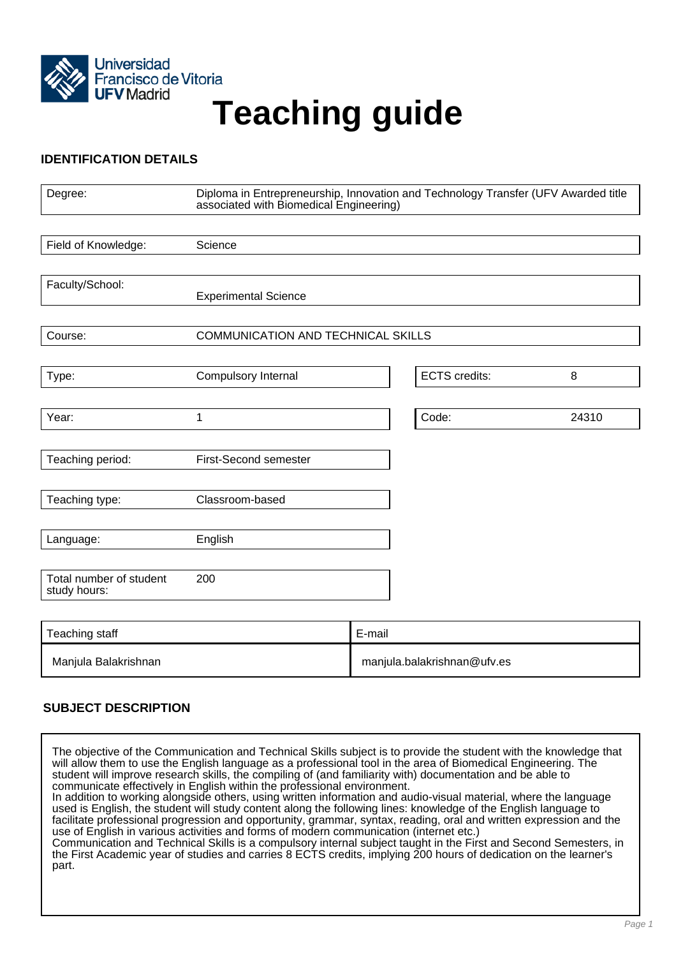

# **Teaching guide**

# **IDENTIFICATION DETAILS**

| Degree:                                 | Diploma in Entrepreneurship, Innovation and Technology Transfer (UFV Awarded title<br>associated with Biomedical Engineering) |        |                             |       |
|-----------------------------------------|-------------------------------------------------------------------------------------------------------------------------------|--------|-----------------------------|-------|
|                                         |                                                                                                                               |        |                             |       |
| Field of Knowledge:                     | Science                                                                                                                       |        |                             |       |
|                                         |                                                                                                                               |        |                             |       |
| Faculty/School:                         | <b>Experimental Science</b>                                                                                                   |        |                             |       |
|                                         |                                                                                                                               |        |                             |       |
| Course:                                 | COMMUNICATION AND TECHNICAL SKILLS                                                                                            |        |                             |       |
|                                         |                                                                                                                               |        |                             |       |
| Type:                                   | Compulsory Internal                                                                                                           |        | <b>ECTS</b> credits:        | 8     |
|                                         |                                                                                                                               |        |                             |       |
| Year:                                   | 1                                                                                                                             |        | Code:                       | 24310 |
|                                         |                                                                                                                               |        |                             |       |
| Teaching period:                        | <b>First-Second semester</b>                                                                                                  |        |                             |       |
|                                         |                                                                                                                               |        |                             |       |
| Teaching type:                          | Classroom-based                                                                                                               |        |                             |       |
|                                         |                                                                                                                               |        |                             |       |
| Language:                               | English                                                                                                                       |        |                             |       |
|                                         |                                                                                                                               |        |                             |       |
| Total number of student<br>study hours: | 200                                                                                                                           |        |                             |       |
|                                         |                                                                                                                               |        |                             |       |
| Teaching staff                          |                                                                                                                               | E-mail |                             |       |
| Manjula Balakrishnan                    |                                                                                                                               |        | manjula.balakrishnan@ufv.es |       |

# **SUBJECT DESCRIPTION**

The objective of the Communication and Technical Skills subject is to provide the student with the knowledge that will allow them to use the English language as a professional tool in the area of Biomedical Engineering. The student will improve research skills, the compiling of (and familiarity with) documentation and be able to communicate effectively in English within the professional environment. In addition to working alongside others, using written information and audio-visual material, where the language used is English, the student will study content along the following lines: knowledge of the English language to facilitate professional progression and opportunity, grammar, syntax, reading, oral and written expression and the use of English in various activities and forms of modern communication (internet etc.) Communication and Technical Skills is a compulsory internal subject taught in the First and Second Semesters, in the First Academic year of studies and carries 8 ECTS credits, implying 200 hours of dedication on the learner's part.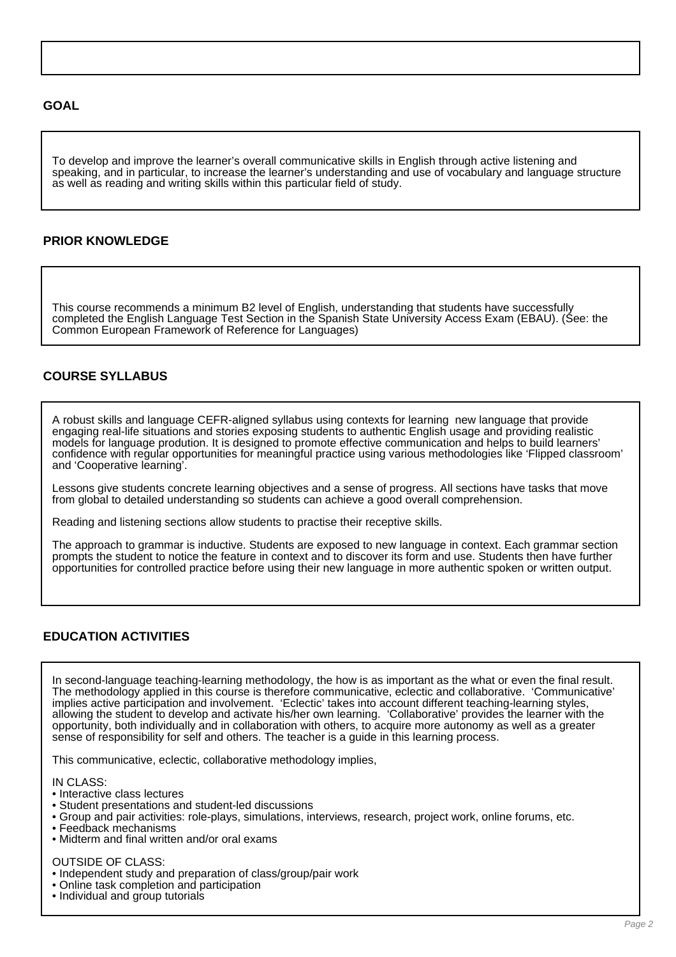## **GOAL**

To develop and improve the learner's overall communicative skills in English through active listening and speaking, and in particular, to increase the learner's understanding and use of vocabulary and language structure as well as reading and writing skills within this particular field of study.

## **PRIOR KNOWLEDGE**

This course recommends a minimum B2 level of English, understanding that students have successfully completed the English Language Test Section in the Spanish State University Access Exam (EBAU). (See: the Common European Framework of Reference for Languages)

# **COURSE SYLLABUS**

A robust skills and language CEFR-aligned syllabus using contexts for learning new language that provide engaging real-life situations and stories exposing students to authentic English usage and providing realistic models for language prodution. It is designed to promote effective communication and helps to build learners' confidence with regular opportunities for meaningful practice using various methodologies like 'Flipped classroom' and 'Cooperative learning'.

Lessons give students concrete learning objectives and a sense of progress. All sections have tasks that move from global to detailed understanding so students can achieve a good overall comprehension.

Reading and listening sections allow students to practise their receptive skills.

The approach to grammar is inductive. Students are exposed to new language in context. Each grammar section prompts the student to notice the feature in context and to discover its form and use. Students then have further opportunities for controlled practice before using their new language in more authentic spoken or written output.

# **EDUCATION ACTIVITIES**

In second-language teaching-learning methodology, the how is as important as the what or even the final result. The methodology applied in this course is therefore communicative, eclectic and collaborative. 'Communicative' implies active participation and involvement. 'Eclectic' takes into account different teaching-learning styles, allowing the student to develop and activate his/her own learning. 'Collaborative' provides the learner with the opportunity, both individually and in collaboration with others, to acquire more autonomy as well as a greater sense of responsibility for self and others. The teacher is a guide in this learning process.

This communicative, eclectic, collaborative methodology implies,

IN CLASS:

- Interactive class lectures
- Student presentations and student-led discussions
- Group and pair activities: role-plays, simulations, interviews, research, project work, online forums, etc.
- Feedback mechanisms
- Midterm and final written and/or oral exams

## OUTSIDE OF CLASS:

- Independent study and preparation of class/group/pair work
- Online task completion and participation
- Individual and group tutorials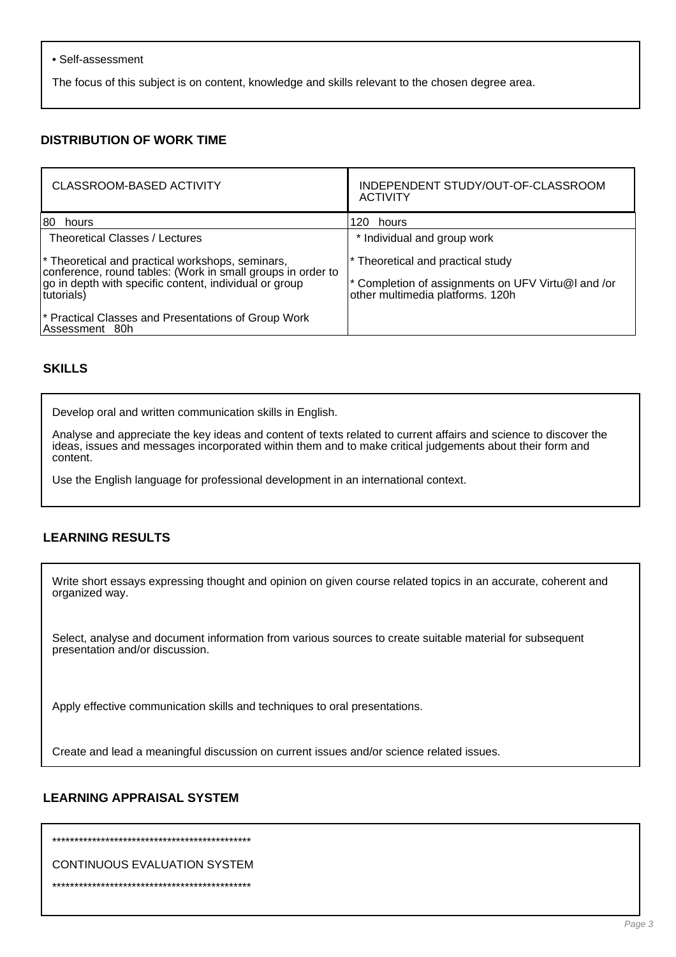#### • Self-assessment

The focus of this subject is on content, knowledge and skills relevant to the chosen degree area.

# **DISTRIBUTION OF WORK TIME**

| <b>CLASSROOM-BASED ACTIVITY</b>                                                                                                                                                         | INDEPENDENT STUDY/OUT-OF-CLASSROOM<br><b>ACTIVITY</b>                                                                       |  |
|-----------------------------------------------------------------------------------------------------------------------------------------------------------------------------------------|-----------------------------------------------------------------------------------------------------------------------------|--|
| 180<br>hours                                                                                                                                                                            | 120 hours                                                                                                                   |  |
| Theoretical Classes / Lectures                                                                                                                                                          | * Individual and group work                                                                                                 |  |
| * Theoretical and practical workshops, seminars,<br>conference, round tables: (Work in small groups in order to<br>go in depth with specific content, individual or group<br>tutorials) | * Theoretical and practical study<br>* Completion of assignments on UFV Virtu@I and /or<br>other multimedia platforms. 120h |  |
| <sup>*</sup> Practical Classes and Presentations of Group Work<br>Assessment 80h                                                                                                        |                                                                                                                             |  |

## **SKILLS**

Develop oral and written communication skills in English.

Analyse and appreciate the key ideas and content of texts related to current affairs and science to discover the ideas, issues and messages incorporated within them and to make critical judgements about their form and content.

Use the English language for professional development in an international context.

# **LEARNING RESULTS**

Write short essays expressing thought and opinion on given course related topics in an accurate, coherent and organized way.

Select, analyse and document information from various sources to create suitable material for subsequent presentation and/or discussion.

Apply effective communication skills and techniques to oral presentations.

Create and lead a meaningful discussion on current issues and/or science related issues.

## **LEARNING APPRAISAL SYSTEM**

 $\mathcal{A}_k$  denotes the deviation of the deviation of the deviation of the deviation of the deviation of the deviation of the deviation

CONTINUOUS EVALUATION SYSTEM

\*\*\*\*\*\*\*\*\*\*\*\*\*\*\*\*\*\*\*\*\*\*\*\*\*\*\*\*\*\*\*\*\*\*\*\*\*\*\*\*\*\*\*\*\*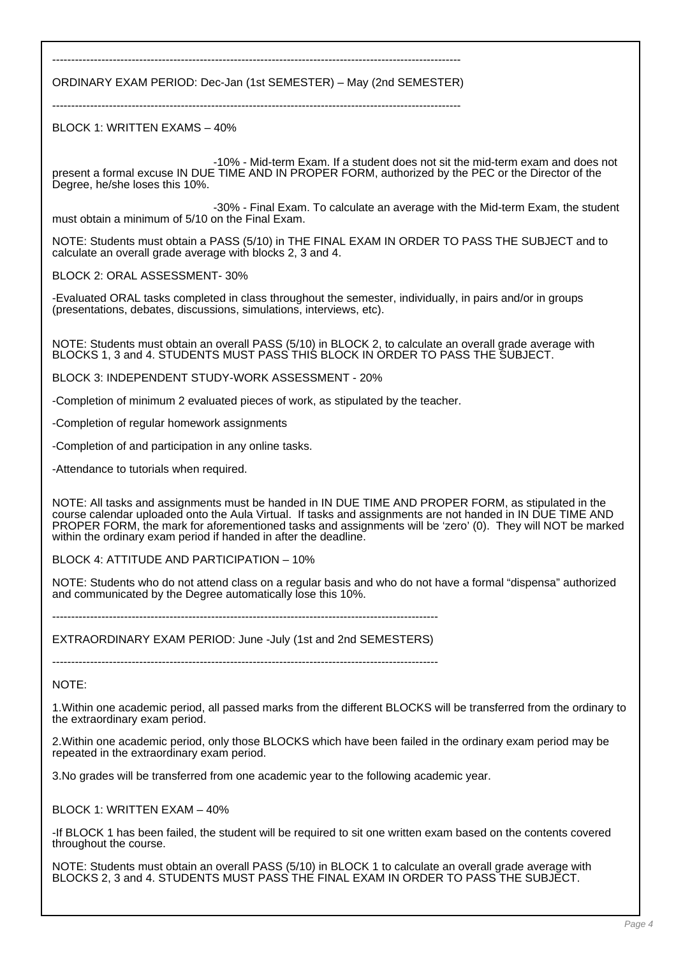------------------------------------------------------------------------------------------------------------ ORDINARY EXAM PERIOD: Dec-Jan (1st SEMESTER) – May (2nd SEMESTER)

 $-$ 

BLOCK 1: WRITTEN EXAMS – 40%

 -10% - Mid-term Exam. If a student does not sit the mid-term exam and does not present a formal excuse IN DUE TIME AND IN PROPER FORM, authorized by the PEC or the Director of the Degree, he/she loses this 10%.

 -30% - Final Exam. To calculate an average with the Mid-term Exam, the student must obtain a minimum of 5/10 on the Final Exam.

NOTE: Students must obtain a PASS (5/10) in THE FINAL EXAM IN ORDER TO PASS THE SUBJECT and to calculate an overall grade average with blocks 2, 3 and 4.

BLOCK 2: ORAL ASSESSMENT- 30%

-Evaluated ORAL tasks completed in class throughout the semester, individually, in pairs and/or in groups (presentations, debates, discussions, simulations, interviews, etc).

NOTE: Students must obtain an overall PASS (5/10) in BLOCK 2, to calculate an overall grade average with BLOCKS 1, 3 and 4. STUDENTS MUST PASS THIS BLOCK IN ORDER TO PASS THE SUBJECT.

BLOCK 3: INDEPENDENT STUDY-WORK ASSESSMENT - 20%

-Completion of minimum 2 evaluated pieces of work, as stipulated by the teacher.

-Completion of regular homework assignments

-Completion of and participation in any online tasks.

-Attendance to tutorials when required.

NOTE: All tasks and assignments must be handed in IN DUE TIME AND PROPER FORM, as stipulated in the course calendar uploaded onto the Aula Virtual. If tasks and assignments are not handed in IN DUE TIME AND PROPER FORM, the mark for aforementioned tasks and assignments will be 'zero' (0). They will NOT be marked within the ordinary exam period if handed in after the deadline.

BLOCK 4: ATTITUDE AND PARTICIPATION – 10%

NOTE: Students who do not attend class on a regular basis and who do not have a formal "dispensa" authorized and communicated by the Degree automatically lose this 10%.

------------------------------------------------------------------------------------------------------ EXTRAORDINARY EXAM PERIOD: June -July (1st and 2nd SEMESTERS)

------------------------------------------------------------------------------------------------------

NOTE:

1.Within one academic period, all passed marks from the different BLOCKS will be transferred from the ordinary to the extraordinary exam period.

2.Within one academic period, only those BLOCKS which have been failed in the ordinary exam period may be repeated in the extraordinary exam period.

3.No grades will be transferred from one academic year to the following academic year.

BLOCK 1: WRITTEN EXAM – 40%

-If BLOCK 1 has been failed, the student will be required to sit one written exam based on the contents covered throughout the course.

NOTE: Students must obtain an overall PASS (5/10) in BLOCK 1 to calculate an overall grade average with BLOCKS 2, 3 and 4. STUDENTS MUST PASS THE FINAL EXAM IN ORDER TO PASS THE SUBJECT.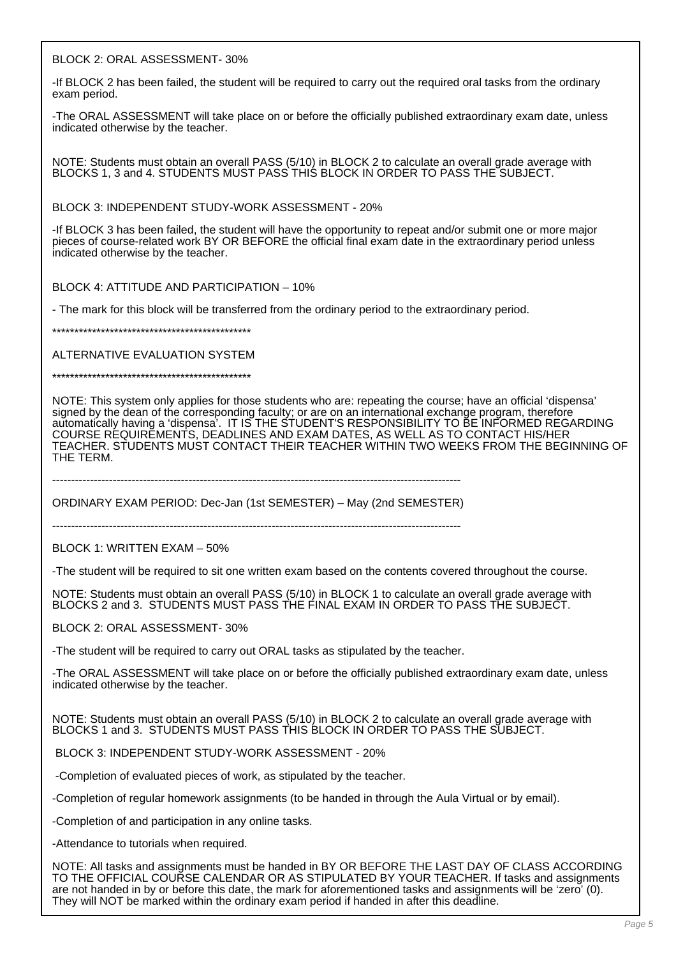BLOCK 2: ORAL ASSESSMENT- 30%

-If BLOCK 2 has been failed, the student will be required to carry out the required oral tasks from the ordinary exam period.

-The ORAL ASSESSMENT will take place on or before the officially published extraordinary exam date, unless indicated otherwise by the teacher.

NOTE: Students must obtain an overall PASS (5/10) in BLOCK 2 to calculate an overall grade average with BLOCKS 1, 3 and 4. STUDENTS MUST PASS THIS BLOCK IN ORDER TO PASS THE SUBJECT.

BLOCK 3: INDEPENDENT STUDY-WORK ASSESSMENT - 20%

-If BLOCK 3 has been failed, the student will have the opportunity to repeat and/or submit one or more major pieces of course-related work BY OR BEFORE the official final exam date in the extraordinary period unless indicated otherwise by the teacher.

BLOCK 4: ATTITUDE AND PARTICIPATION – 10%

- The mark for this block will be transferred from the ordinary period to the extraordinary period.

\*\*\*\*\*\*\*\*\*\*\*\*\*\*\*\*\*\*\*\*\*\*\*\*\*\*\*\*\*\*\*\*\*\*\*\*\*\*\*\*\*\*\*\*\*

ALTERNATIVE EVALUATION SYSTEM

\*\*\*\*\*\*\*\*\*\*\*\*\*\*\*\*\*\*\*\*\*\*\*\*\*\*\*\*\*\*\*\*\*\*\*\*\*\*\*\*\*\*\*\*\*

NOTE: This system only applies for those students who are: repeating the course; have an official 'dispensa' signed by the dean of the corresponding faculty; or are on an international exchange program, therefore automatically having a 'dispensa'. IT IS THE STUDENT'S RESPONSIBILITY TO BE INFORMED REGARDING COURSE REQUIREMENTS, DEADLINES AND EXAM DATES, AS WELL AS TO CONTACT HIS/HER TEACHER. STUDENTS MUST CONTACT THEIR TEACHER WITHIN TWO WEEKS FROM THE BEGINNING OF THE TERM.

------------------------------------------------------------------------------------------------------------

ORDINARY EXAM PERIOD: Dec-Jan (1st SEMESTER) – May (2nd SEMESTER)

------------------------------------------------------------------------------------------------------------

BLOCK 1: WRITTEN EXAM – 50%

-The student will be required to sit one written exam based on the contents covered throughout the course.

NOTE: Students must obtain an overall PASS (5/10) in BLOCK 1 to calculate an overall grade average with BLOCKS 2 and 3. STUDENTS MUST PASS THE FINAL EXAM IN ORDER TO PASS THE SUBJECT.

BLOCK 2: ORAL ASSESSMENT- 30%

-The student will be required to carry out ORAL tasks as stipulated by the teacher.

-The ORAL ASSESSMENT will take place on or before the officially published extraordinary exam date, unless indicated otherwise by the teacher.

NOTE: Students must obtain an overall PASS (5/10) in BLOCK 2 to calculate an overall grade average with BLOCKS 1 and 3. STUDENTS MUST PASS THIS BLOCK IN ORDER TO PASS THE SUBJECT.

BLOCK 3: INDEPENDENT STUDY-WORK ASSESSMENT - 20%

-Completion of evaluated pieces of work, as stipulated by the teacher.

-Completion of regular homework assignments (to be handed in through the Aula Virtual or by email).

-Completion of and participation in any online tasks.

-Attendance to tutorials when required.

NOTE: All tasks and assignments must be handed in BY OR BEFORE THE LAST DAY OF CLASS ACCORDING TO THE OFFICIAL COURSE CALENDAR OR AS STIPULATED BY YOUR TEACHER. If tasks and assignments are not handed in by or before this date, the mark for aforementioned tasks and assignments will be 'zero' (0). They will NOT be marked within the ordinary exam period if handed in after this deadline.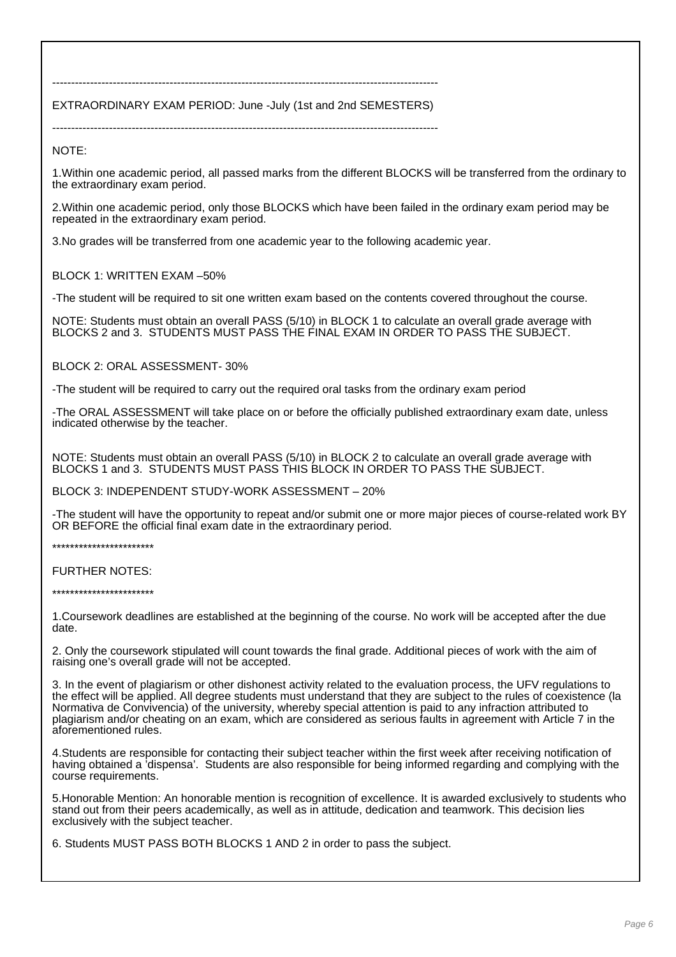------------------------------------------------------------------------------------------------------ EXTRAORDINARY EXAM PERIOD: June -July (1st and 2nd SEMESTERS)

------------------------------------------------------------------------------------------------------

NOTE:

1.Within one academic period, all passed marks from the different BLOCKS will be transferred from the ordinary to the extraordinary exam period.

2.Within one academic period, only those BLOCKS which have been failed in the ordinary exam period may be repeated in the extraordinary exam period.

3.No grades will be transferred from one academic year to the following academic year.

BLOCK 1: WRITTEN EXAM –50%

-The student will be required to sit one written exam based on the contents covered throughout the course.

NOTE: Students must obtain an overall PASS (5/10) in BLOCK 1 to calculate an overall grade average with BLOCKS 2 and 3. STUDENTS MUST PASS THE FINAL EXAM IN ORDER TO PASS THE SUBJECT.

BLOCK 2: ORAL ASSESSMENT- 30%

-The student will be required to carry out the required oral tasks from the ordinary exam period

-The ORAL ASSESSMENT will take place on or before the officially published extraordinary exam date, unless indicated otherwise by the teacher.

NOTE: Students must obtain an overall PASS (5/10) in BLOCK 2 to calculate an overall grade average with BLOCKS 1 and 3. STUDENTS MUST PASS THIS BLOCK IN ORDER TO PASS THE SUBJECT.

BLOCK 3: INDEPENDENT STUDY-WORK ASSESSMENT – 20%

-The student will have the opportunity to repeat and/or submit one or more major pieces of course-related work BY OR BEFORE the official final exam date in the extraordinary period.

\*\*\*\*\*\*\*\*\*\*\*\*\*\*\*\*\*\*\*\*\*\*\*

FURTHER NOTES:

\*\*\*\*\*\*\*\*\*\*\*\*\*\*\*\*\*\*\*\*\*\*\*

1.Coursework deadlines are established at the beginning of the course. No work will be accepted after the due date.

2. Only the coursework stipulated will count towards the final grade. Additional pieces of work with the aim of raising one's overall grade will not be accepted.

3. In the event of plagiarism or other dishonest activity related to the evaluation process, the UFV regulations to the effect will be applied. All degree students must understand that they are subject to the rules of coexistence (la Normativa de Convivencia) of the university, whereby special attention is paid to any infraction attributed to plagiarism and/or cheating on an exam, which are considered as serious faults in agreement with Article 7 in the aforementioned rules.

4.Students are responsible for contacting their subject teacher within the first week after receiving notification of having obtained a 'dispensa'. Students are also responsible for being informed regarding and complying with the course requirements.

5.Honorable Mention: An honorable mention is recognition of excellence. It is awarded exclusively to students who stand out from their peers academically, as well as in attitude, dedication and teamwork. This decision lies exclusively with the subject teacher.

6. Students MUST PASS BOTH BLOCKS 1 AND 2 in order to pass the subject.